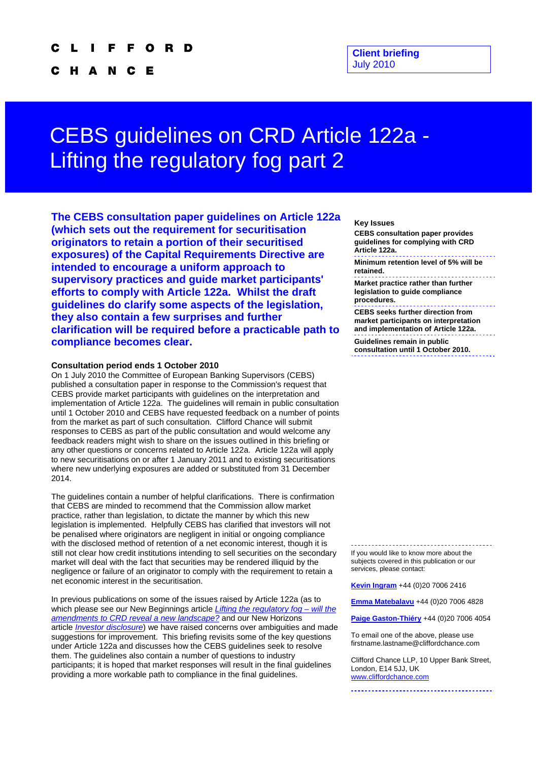#### O R D

C H A N Е c

# CEBS guidelines on CRD Article 122a - Lifting the regulatory fog part 2

**The CEBS consultation paper guidelines on Article 122a (which sets out the requirement for securitisation originators to retain a portion of their securitised exposures) of the Capital Requirements Directive are intended to encourage a uniform approach to supervisory practices and guide market participants' efforts to comply with Article 122a. Whilst the draft guidelines do clarify some aspects of the legislation, they also contain a few surprises and further clarification will be required before a practicable path to compliance becomes clear.** 

### **Consultation period ends 1 October 2010**

On 1 July 2010 the Committee of European Banking Supervisors (CEBS) published a consultation paper in response to the Commission's request that CEBS provide market participants with guidelines on the interpretation and implementation of Article 122a. The guidelines will remain in public consultation until 1 October 2010 and CEBS have requested feedback on a number of points from the market as part of such consultation. Clifford Chance will submit responses to CEBS as part of the public consultation and would welcome any feedback readers might wish to share on the issues outlined in this briefing or any other questions or concerns related to Article 122a. Article 122a will apply to new securitisations on or after 1 January 2011 and to existing securitisations where new underlying exposures are added or substituted from 31 December 2014.

The guidelines contain a number of helpful clarifications. There is confirmation that CEBS are minded to recommend that the Commission allow market practice, rather than legislation, to dictate the manner by which this new legislation is implemented. Helpfully CEBS has clarified that investors will not be penalised where originators are negligent in initial or ongoing compliance with the disclosed method of retention of a net economic interest, though it is still not clear how credit institutions intending to sell securities on the secondary market will deal with the fact that securities may be rendered illiquid by the negligence or failure of an originator to comply with the requirement to retain a net economic interest in the securitisation.

In previous publications on some of the issues raised by Article 122a (as to which please see our New Beginnings article *[Lifting the regulatory fog – will the](http://www.cliffordchance.com/expertise/publications/details.aspx?FilterName=@URL&LangID=UK&contentitemid=16428)  [amendments to CRD reveal a new landscape?](http://www.cliffordchance.com/expertise/publications/details.aspx?FilterName=@URL&LangID=UK&contentitemid=16428)* and our New Horizons article *[Investor disclosure](http://www.cliffordchance.com/expertise/publications/details.aspx?FilterName=@URL&LangID=UK&contentitemid=17412)*) we have raised concerns over ambiguities and made suggestions for improvement. This briefing revisits some of the key questions under Article 122a and discusses how the CEBS guidelines seek to resolve them. The guidelines also contain a number of questions to industry participants; it is hoped that market responses will result in the final guidelines providing a more workable path to compliance in the final guidelines.

#### **Key Issues**

**CEBS consultation paper provides guidelines for complying with CRD Article 122a.** 

**Minimum retention level of 5% will be retained.** 

**Market practice rather than further legislation to guide compliance procedures.** 

**CEBS seeks further direction from market participants on interpretation and implementation of Article 122a.** 

**Guidelines remain in public consultation until 1 October 2010.** 

If you would like to know more about the subjects covered in this publication or our services, please contact:

**[Kevin Ingram](mailto:Kevin.Ingram@cliffordchance.com)** +44 (0)20 7006 2416

**[Emma Matebalavu](mailto:Emma.Matebalavu@cliffordchance.com)** +44 (0)20 7006 4828

**[Paige Gaston-Thiéry](mailto:Paige.Gaston-Thiery@cliffordchance.com)** +44 (0)20 7006 4054

To email one of the above, please use firstname.lastname@cliffordchance.com

Clifford Chance LLP, 10 Upper Bank Street, London, E14 5JJ, UK [www.cliffordchance.com](http://www.cliffordchance.com/)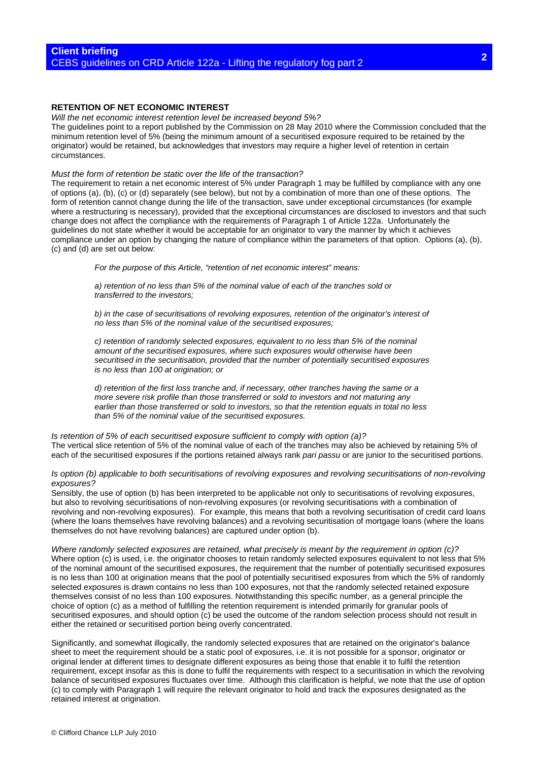# **RETENTION OF NET ECONOMIC INTEREST**

*Will the net economic interest retention level be increased beyond 5%?* 

The guidelines point to a report published by the Commission on 28 May 2010 where the Commission concluded that the minimum retention level of 5% (being the minimum amount of a securitised exposure required to be retained by the originator) would be retained, but acknowledges that investors may require a higher level of retention in certain circumstances.

#### *Must the form of retention be static over the life of the transaction?*

The requirement to retain a net economic interest of 5% under Paragraph 1 may be fulfilled by compliance with any one of options (a), (b), (c) or (d) separately (see below), but not by a combination of more than one of these options. The form of retention cannot change during the life of the transaction, save under exceptional circumstances (for example where a restructuring is necessary), provided that the exceptional circumstances are disclosed to investors and that such change does not affect the compliance with the requirements of Paragraph 1 of Article 122a. Unfortunately the guidelines do not state whether it would be acceptable for an originator to vary the manner by which it achieves compliance under an option by changing the nature of compliance within the parameters of that option. Options (a), (b), (c) and (d) are set out below:

*For the purpose of this Article, "retention of net economic interest" means:*

*a) retention of no less than 5% of the nominal value of each of the tranches sold or transferred to the investors;*

*b) in the case of securitisations of revolving exposures, retention of the originator's interest of no less than 5% of the nominal value of the securitised exposures;*

*c) retention of randomly selected exposures, equivalent to no less than 5% of the nominal amount of the securitised exposures, where such exposures would otherwise have been securitised in the securitisation, provided that the number of potentially securitised exposures is no less than 100 at origination; or*

*d) retention of the first loss tranche and, if necessary, other tranches having the same or a more severe risk profile than those transferred or sold to investors and not maturing any earlier than those transferred or sold to investors, so that the retention equals in total no less than 5% of the nominal value of the securitised exposures.*

*Is retention of 5% of each securitised exposure sufficient to comply with option (a)?*  The vertical slice retention of 5% of the nominal value of each of the tranches may also be achieved by retaining 5% of each of the securitised exposures if the portions retained always rank *pari passu* or are junior to the securitised portions.

*Is option (b) applicable to both securitisations of revolving exposures and revolving securitisations of non-revolving exposures?* 

Sensibly, the use of option (b) has been interpreted to be applicable not only to securitisations of revolving exposures, but also to revolving securitisations of non-revolving exposures (or revolving securitisations with a combination of revolving and non-revolving exposures). For example, this means that both a revolving securitisation of credit card loans (where the loans themselves have revolving balances) and a revolving securitisation of mortgage loans (where the loans themselves do not have revolving balances) are captured under option (b).

*Where randomly selected exposures are retained, what precisely is meant by the requirement in option (c)?*  Where option (c) is used, i.e. the originator chooses to retain randomly selected exposures equivalent to not less that 5% of the nominal amount of the securitised exposures, the requirement that the number of potentially securitised exposures is no less than 100 at origination means that the pool of potentially securitised exposures from which the 5% of randomly selected exposures is drawn contains no less than 100 exposures, not that the randomly selected retained exposure themselves consist of no less than 100 exposures. Notwithstanding this specific number, as a general principle the choice of option (c) as a method of fulfilling the retention requirement is intended primarily for granular pools of securitised exposures, and should option (c) be used the outcome of the random selection process should not result in either the retained or securitised portion being overly concentrated.

Significantly, and somewhat illogically, the randomly selected exposures that are retained on the originator's balance sheet to meet the requirement should be a static pool of exposures, i.e. it is not possible for a sponsor, originator or original lender at different times to designate different exposures as being those that enable it to fulfil the retention requirement, except insofar as this is done to fulfil the requirements with respect to a securitisation in which the revolving balance of securitised exposures fluctuates over time. Although this clarification is helpful, we note that the use of option (c) to comply with Paragraph 1 will require the relevant originator to hold and track the exposures designated as the retained interest at origination.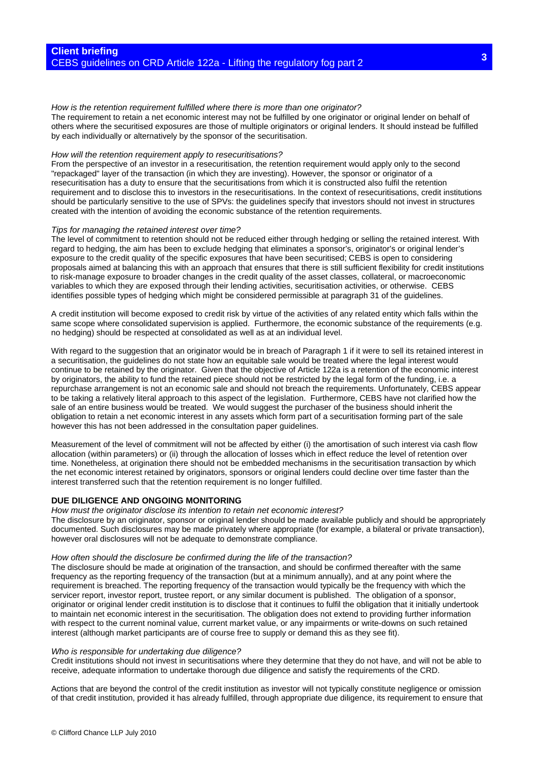# *How is the retention requirement fulfilled where there is more than one originator?*

The requirement to retain a net economic interest may not be fulfilled by one originator or original lender on behalf of others where the securitised exposures are those of multiple originators or original lenders. It should instead be fulfilled by each individually or alternatively by the sponsor of the securitisation.

#### *How will the retention requirement apply to resecuritisations?*

From the perspective of an investor in a resecuritisation, the retention requirement would apply only to the second "repackaged" layer of the transaction (in which they are investing). However, the sponsor or originator of a resecuritisation has a duty to ensure that the securitisations from which it is constructed also fulfil the retention requirement and to disclose this to investors in the resecuritisations. In the context of resecuritisations, credit institutions should be particularly sensitive to the use of SPVs: the guidelines specify that investors should not invest in structures created with the intention of avoiding the economic substance of the retention requirements.

#### *Tips for managing the retained interest over time?*

The level of commitment to retention should not be reduced either through hedging or selling the retained interest. With regard to hedging, the aim has been to exclude hedging that eliminates a sponsor's, originator's or original lender's exposure to the credit quality of the specific exposures that have been securitised; CEBS is open to considering proposals aimed at balancing this with an approach that ensures that there is still sufficient flexibility for credit institutions to risk-manage exposure to broader changes in the credit quality of the asset classes, collateral, or macroeconomic variables to which they are exposed through their lending activities, securitisation activities, or otherwise. CEBS identifies possible types of hedging which might be considered permissible at paragraph 31 of the guidelines.

A credit institution will become exposed to credit risk by virtue of the activities of any related entity which falls within the same scope where consolidated supervision is applied. Furthermore, the economic substance of the requirements (e.g. no hedging) should be respected at consolidated as well as at an individual level.

With regard to the suggestion that an originator would be in breach of Paragraph 1 if it were to sell its retained interest in a securitisation, the guidelines do not state how an equitable sale would be treated where the legal interest would continue to be retained by the originator. Given that the objective of Article 122a is a retention of the economic interest by originators, the ability to fund the retained piece should not be restricted by the legal form of the funding, i.e. a repurchase arrangement is not an economic sale and should not breach the requirements. Unfortunately, CEBS appear to be taking a relatively literal approach to this aspect of the legislation. Furthermore, CEBS have not clarified how the sale of an entire business would be treated. We would suggest the purchaser of the business should inherit the obligation to retain a net economic interest in any assets which form part of a securitisation forming part of the sale however this has not been addressed in the consultation paper guidelines.

Measurement of the level of commitment will not be affected by either (i) the amortisation of such interest via cash flow allocation (within parameters) or (ii) through the allocation of losses which in effect reduce the level of retention over time. Nonetheless, at origination there should not be embedded mechanisms in the securitisation transaction by which the net economic interest retained by originators, sponsors or original lenders could decline over time faster than the interest transferred such that the retention requirement is no longer fulfilled.

#### **DUE DILIGENCE AND ONGOING MONITORING**

#### *How must the originator disclose its intention to retain net economic interest?*

The disclosure by an originator, sponsor or original lender should be made available publicly and should be appropriately documented. Such disclosures may be made privately where appropriate (for example, a bilateral or private transaction), however oral disclosures will not be adequate to demonstrate compliance.

#### *How often should the disclosure be confirmed during the life of the transaction?*

The disclosure should be made at origination of the transaction, and should be confirmed thereafter with the same frequency as the reporting frequency of the transaction (but at a minimum annually), and at any point where the requirement is breached. The reporting frequency of the transaction would typically be the frequency with which the servicer report, investor report, trustee report, or any similar document is published. The obligation of a sponsor, originator or original lender credit institution is to disclose that it continues to fulfil the obligation that it initially undertook to maintain net economic interest in the securitisation. The obligation does not extend to providing further information with respect to the current nominal value, current market value, or any impairments or write-downs on such retained interest (although market participants are of course free to supply or demand this as they see fit).

#### *Who is responsible for undertaking due diligence?*

Credit institutions should not invest in securitisations where they determine that they do not have, and will not be able to receive, adequate information to undertake thorough due diligence and satisfy the requirements of the CRD.

Actions that are beyond the control of the credit institution as investor will not typically constitute negligence or omission of that credit institution, provided it has already fulfilled, through appropriate due diligence, its requirement to ensure that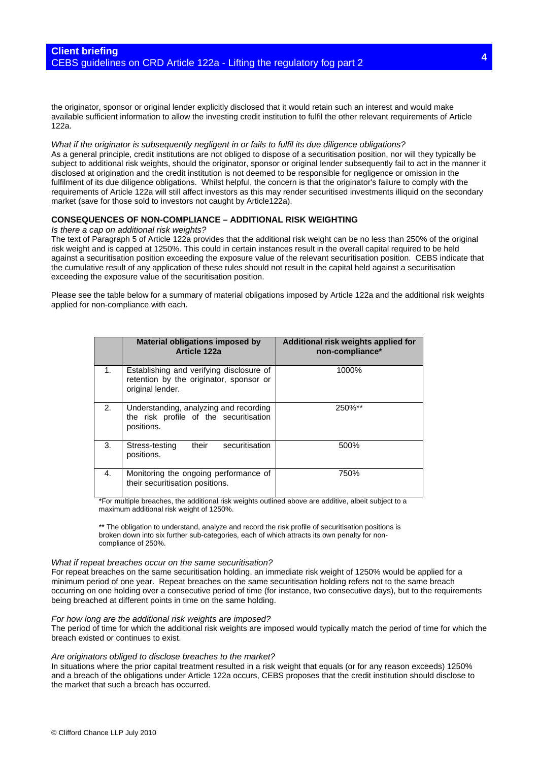the originator, sponsor or original lender explicitly disclosed that it would retain such an interest and would make available sufficient information to allow the investing credit institution to fulfil the other relevant requirements of Article 122a.

*What if the originator is subsequently negligent in or fails to fulfil its due diligence obligations?*  As a general principle, credit institutions are not obliged to dispose of a securitisation position, nor will they typically be subject to additional risk weights, should the originator, sponsor or original lender subsequently fail to act in the manner it disclosed at origination and the credit institution is not deemed to be responsible for negligence or omission in the fulfilment of its due diligence obligations. Whilst helpful, the concern is that the originator's failure to comply with the requirements of Article 122a will still affect investors as this may render securitised investments illiquid on the secondary market (save for those sold to investors not caught by Article122a).

# **CONSEQUENCES OF NON-COMPLIANCE – ADDITIONAL RISK WEIGHTING**

#### *Is there a cap on additional risk weights?*

The text of Paragraph 5 of Article 122a provides that the additional risk weight can be no less than 250% of the original risk weight and is capped at 1250%. This could in certain instances result in the overall capital required to be held against a securitisation position exceeding the exposure value of the relevant securitisation position. CEBS indicate that the cumulative result of any application of these rules should not result in the capital held against a securitisation exceeding the exposure value of the securitisation position.

Please see the table below for a summary of material obligations imposed by Article 122a and the additional risk weights applied for non-compliance with each.

|    | Material obligations imposed by<br>Article 122a                                                         | Additional risk weights applied for<br>non-compliance* |
|----|---------------------------------------------------------------------------------------------------------|--------------------------------------------------------|
| 1. | Establishing and verifying disclosure of<br>retention by the originator, sponsor or<br>original lender. | 1000%                                                  |
| 2. | Understanding, analyzing and recording<br>the risk profile of the securitisation<br>positions.          | 250%**                                                 |
| 3. | their<br>securitisation<br>Stress-testing<br>positions.                                                 | 500%                                                   |
| 4. | Monitoring the ongoing performance of<br>their securitisation positions.                                | 750%                                                   |

\*For multiple breaches, the additional risk weights outlined above are additive, albeit subject to a maximum additional risk weight of 1250%.

\*\* The obligation to understand, analyze and record the risk profile of securitisation positions is broken down into six further sub-categories, each of which attracts its own penalty for noncompliance of 250%.

#### *W hat if repeat breaches occur on the same securitisation?*

For repeat breaches on the same securitisation holding, an imm ediate risk weight of 1250% would be applied for a occurring on one holding over a consecutive period of time (for instance, two consecutive days), but to the requirements minimum period of one year. Repeat breaches on the same securitisation holding refers not to the same breach being breached at different points in time on the same holding.

### *For how long are the additional risk weights are imposed?*

The period of time for which the additional risk weights are imposed would typically match the period of time for which the breach existed or continues to exist.

#### *Are originators obliged to disclose breaches to the market?*

In situations where the prior capital treatment resulted in a risk weight that equals (or for any reason exceeds) 1250% and a breach of the obligations under Article 122a occurs, CEBS proposes that the credit institution should disclose to the market that such a breach has occurred.